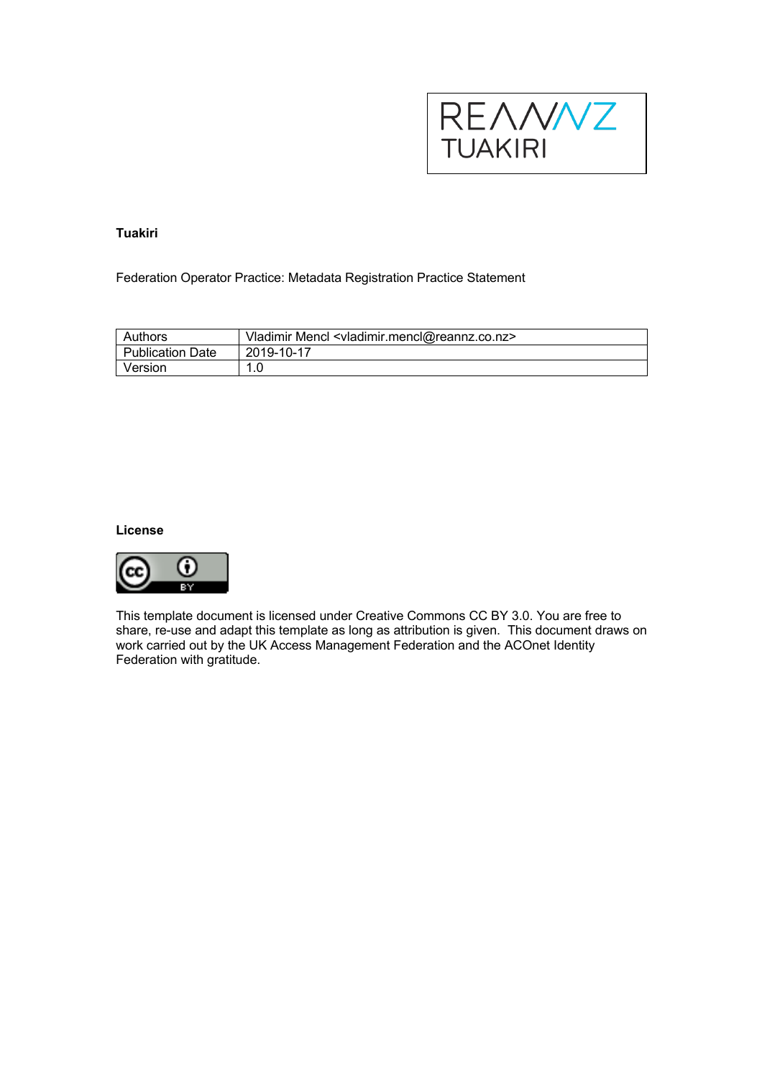

# **Tuakiri**

Federation Operator Practice: Metadata Registration Practice Statement

| Authors          | Vladimir Mencl <vladimir.mencl@reannz.co.nz></vladimir.mencl@reannz.co.nz> |
|------------------|----------------------------------------------------------------------------|
| Publication Date | 2019-10-17                                                                 |
| Version          |                                                                            |

### **License**



This template document is licensed under Creative Commons CC BY 3.0. You are free to share, re-use and adapt this template as long as attribution is given. This document draws on work carried out by the UK Access Management Federation and the ACOnet Identity Federation with gratitude.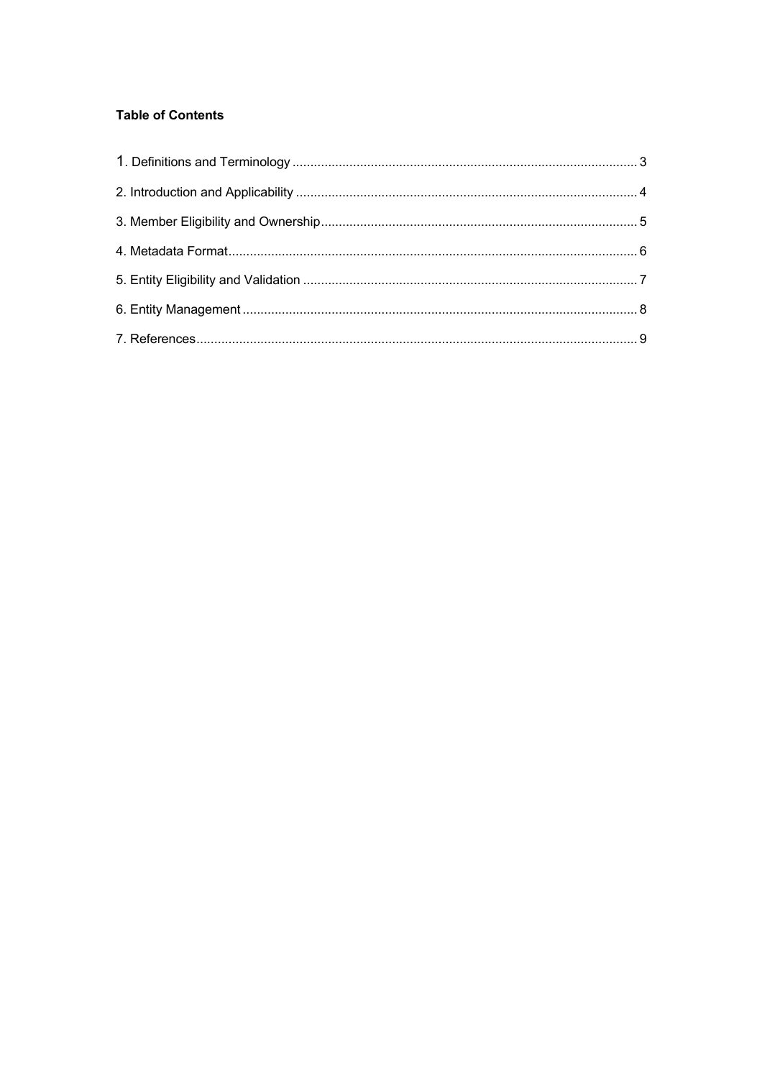# **Table of Contents**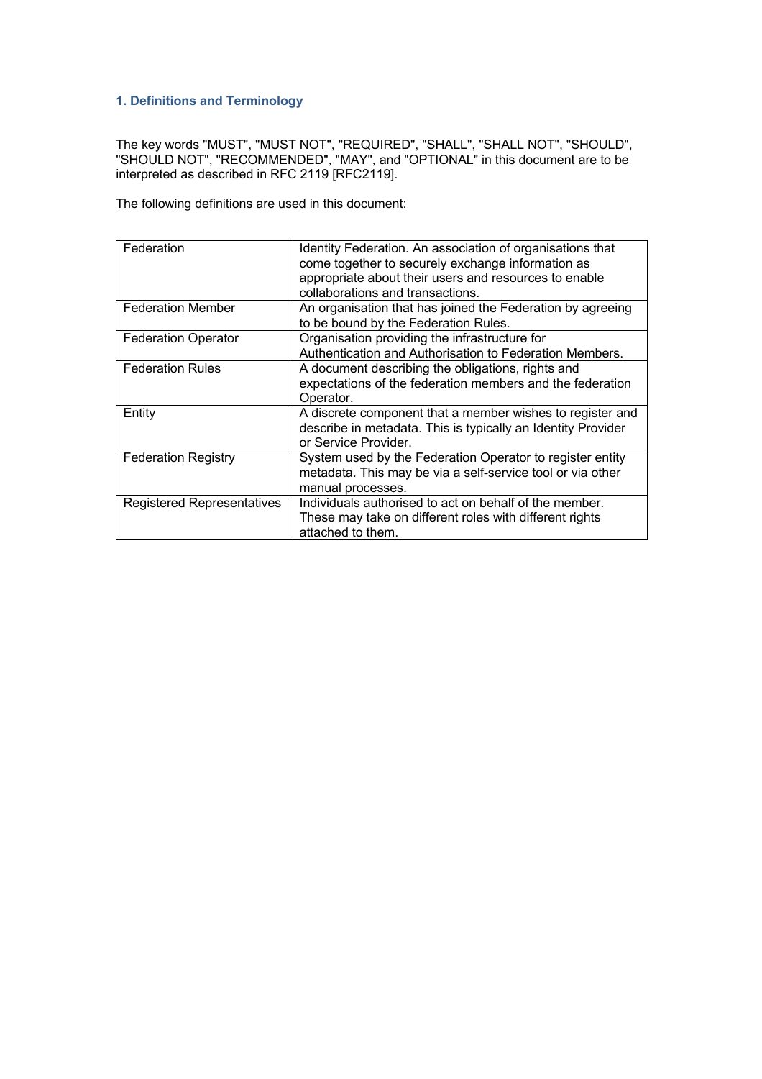## **1. Definitions and Terminology**

The key words "MUST", "MUST NOT", "REQUIRED", "SHALL", "SHALL NOT", "SHOULD", "SHOULD NOT", "RECOMMENDED", "MAY", and "OPTIONAL" in this document are to be interpreted as described in RFC 2119 [RFC2119].

The following definitions are used in this document:

| Federation                        | Identity Federation. An association of organisations that<br>come together to securely exchange information as<br>appropriate about their users and resources to enable<br>collaborations and transactions. |
|-----------------------------------|-------------------------------------------------------------------------------------------------------------------------------------------------------------------------------------------------------------|
| <b>Federation Member</b>          | An organisation that has joined the Federation by agreeing<br>to be bound by the Federation Rules.                                                                                                          |
| <b>Federation Operator</b>        | Organisation providing the infrastructure for<br>Authentication and Authorisation to Federation Members.                                                                                                    |
| <b>Federation Rules</b>           | A document describing the obligations, rights and<br>expectations of the federation members and the federation<br>Operator.                                                                                 |
| Entity                            | A discrete component that a member wishes to register and<br>describe in metadata. This is typically an Identity Provider<br>or Service Provider.                                                           |
| <b>Federation Registry</b>        | System used by the Federation Operator to register entity<br>metadata. This may be via a self-service tool or via other<br>manual processes.                                                                |
| <b>Registered Representatives</b> | Individuals authorised to act on behalf of the member.<br>These may take on different roles with different rights<br>attached to them.                                                                      |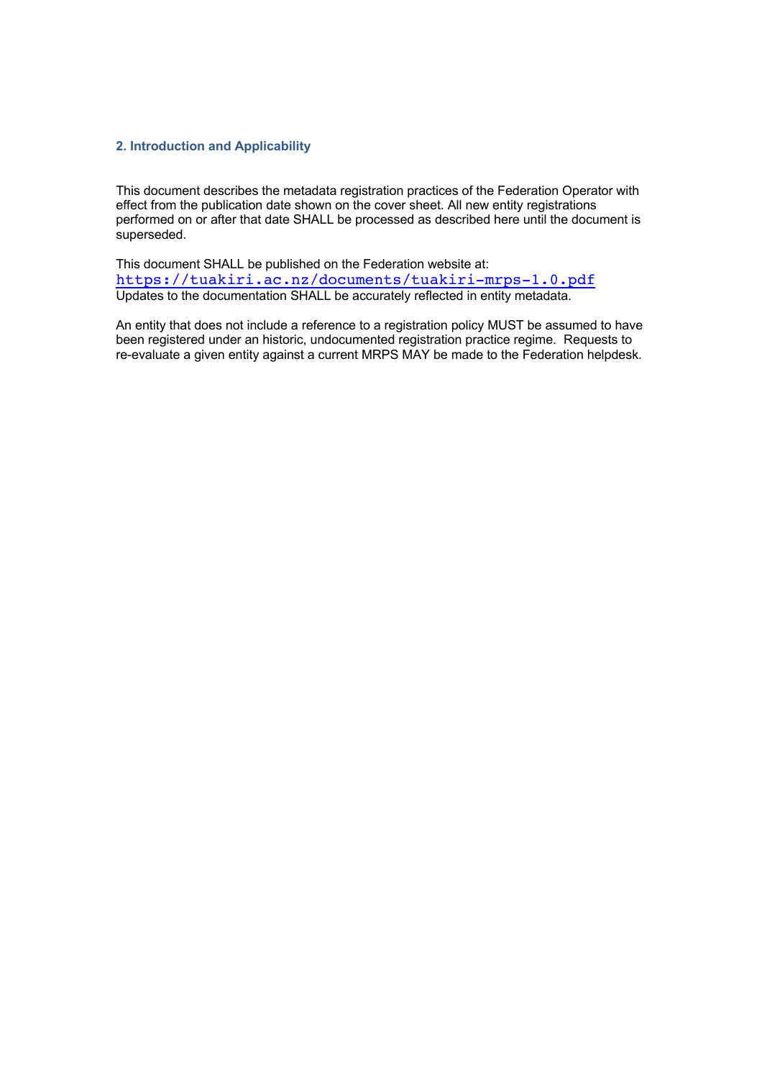### **2. Introduction and Applicability**

This document describes the metadata registration practices of the Federation Operator with effect from the publication date shown on the cover sheet. All new entity registrations performed on or after that date SHALL be processed as described here until the document is superseded.

This document SHALL be published on the Federation website at: https://tuakiri.ac.nz/documents/tuakiri-mrps-1.0.pdf Updates to the documentation SHALL be accurately reflected in entity metadata.

An entity that does not include a reference to a registration policy MUST be assumed to have been registered under an historic, undocumented registration practice regime. Requests to re-evaluate a given entity against a current MRPS MAY be made to the Federation helpdesk.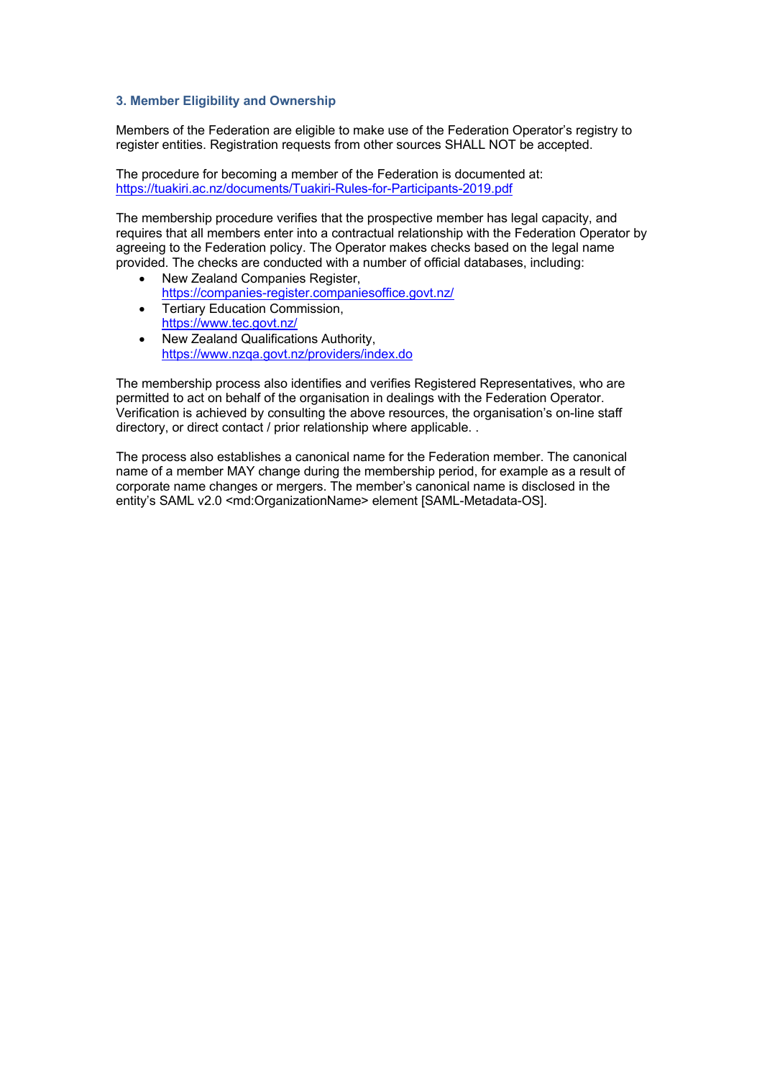#### **3. Member Eligibility and Ownership**

Members of the Federation are eligible to make use of the Federation Operator's registry to register entities. Registration requests from other sources SHALL NOT be accepted.

The procedure for becoming a member of the Federation is documented at: https://tuakiri.ac.nz/documents/Tuakiri-Rules-for-Participants-2019.pdf

The membership procedure verifies that the prospective member has legal capacity, and requires that all members enter into a contractual relationship with the Federation Operator by agreeing to the Federation policy. The Operator makes checks based on the legal name provided. The checks are conducted with a number of official databases, including:

- New Zealand Companies Register, https://companies-register.companiesoffice.govt.nz/
- Tertiary Education Commission, https://www.tec.govt.nz/
- New Zealand Qualifications Authority, https://www.nzqa.govt.nz/providers/index.do

The membership process also identifies and verifies Registered Representatives, who are permitted to act on behalf of the organisation in dealings with the Federation Operator. Verification is achieved by consulting the above resources, the organisation's on-line staff directory, or direct contact / prior relationship where applicable. .

The process also establishes a canonical name for the Federation member. The canonical name of a member MAY change during the membership period, for example as a result of corporate name changes or mergers. The member's canonical name is disclosed in the entity's SAML v2.0 <md:OrganizationName> element [SAML-Metadata-OS].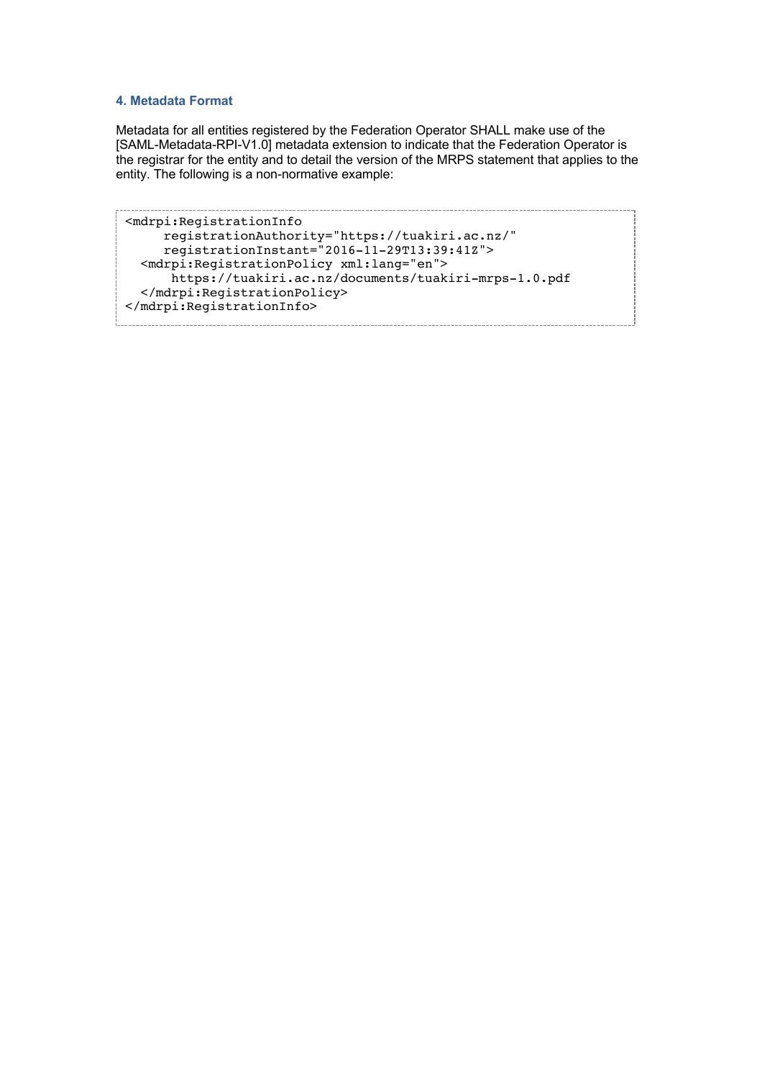#### **4. Metadata Format**

Metadata for all entities registered by the Federation Operator SHALL make use of the [SAML-Metadata-RPI-V1.0] metadata extension to indicate that the Federation Operator is the registrar for the entity and to detail the version of the MRPS statement that applies to the entity. The following is a non-normative example:

```
<mdrpi:RegistrationInfo
 registrationAuthority="https://tuakiri.ac.nz/"
 registrationInstant="2016-11-29T13:39:41Z">
  <mdrpi:RegistrationPolicy xml:lang="en"> 
      https://tuakiri.ac.nz/documents/tuakiri-mrps-1.0.pdf
  </mdrpi:RegistrationPolicy>
</mdrpi:RegistrationInfo>
```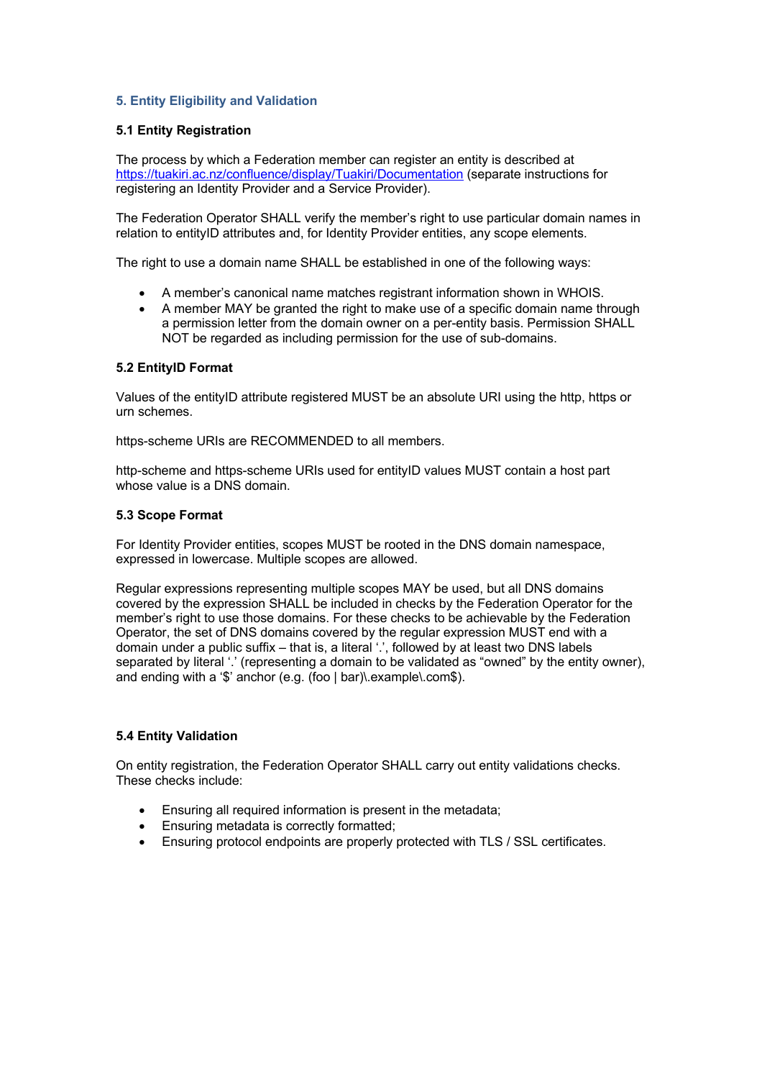## **5. Entity Eligibility and Validation**

### **5.1 Entity Registration**

The process by which a Federation member can register an entity is described at https://tuakiri.ac.nz/confluence/display/Tuakiri/Documentation (separate instructions for registering an Identity Provider and a Service Provider).

The Federation Operator SHALL verify the member's right to use particular domain names in relation to entityID attributes and, for Identity Provider entities, any scope elements.

The right to use a domain name SHALL be established in one of the following ways:

- A member's canonical name matches registrant information shown in WHOIS.
- A member MAY be granted the right to make use of a specific domain name through a permission letter from the domain owner on a per-entity basis. Permission SHALL NOT be regarded as including permission for the use of sub-domains.

#### **5.2 EntityID Format**

Values of the entityID attribute registered MUST be an absolute URI using the http, https or urn schemes.

https-scheme URIs are RECOMMENDED to all members.

http-scheme and https-scheme URIs used for entityID values MUST contain a host part whose value is a DNS domain.

#### **5.3 Scope Format**

For Identity Provider entities, scopes MUST be rooted in the DNS domain namespace, expressed in lowercase. Multiple scopes are allowed.

Regular expressions representing multiple scopes MAY be used, but all DNS domains covered by the expression SHALL be included in checks by the Federation Operator for the member's right to use those domains. For these checks to be achievable by the Federation Operator, the set of DNS domains covered by the regular expression MUST end with a domain under a public suffix – that is, a literal '.', followed by at least two DNS labels separated by literal '.' (representing a domain to be validated as "owned" by the entity owner), and ending with a '\$' anchor (e.g. (foo | bar)\.example\.com\$).

#### **5.4 Entity Validation**

On entity registration, the Federation Operator SHALL carry out entity validations checks. These checks include:

- Ensuring all required information is present in the metadata;
- Ensuring metadata is correctly formatted;
- Ensuring protocol endpoints are properly protected with TLS / SSL certificates.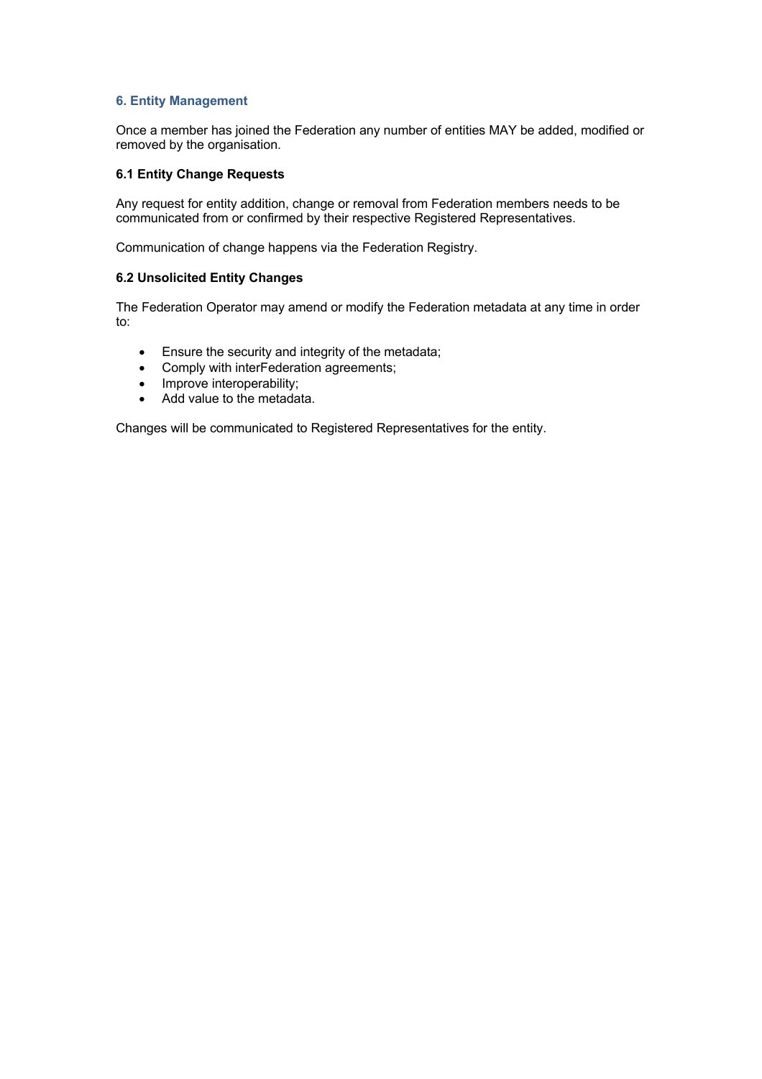### **6. Entity Management**

Once a member has joined the Federation any number of entities MAY be added, modified or removed by the organisation.

#### **6.1 Entity Change Requests**

Any request for entity addition, change or removal from Federation members needs to be communicated from or confirmed by their respective Registered Representatives.

Communication of change happens via the Federation Registry.

### **6.2 Unsolicited Entity Changes**

The Federation Operator may amend or modify the Federation metadata at any time in order to:

- Ensure the security and integrity of the metadata;
- Comply with interFederation agreements;
- Improve interoperability;
- Add value to the metadata.

Changes will be communicated to Registered Representatives for the entity.